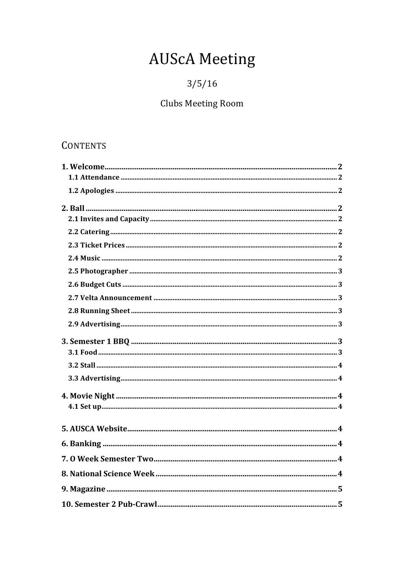# **AUScA Meeting**

# $3/5/16$

# **Clubs Meeting Room**

# **CONTENTS**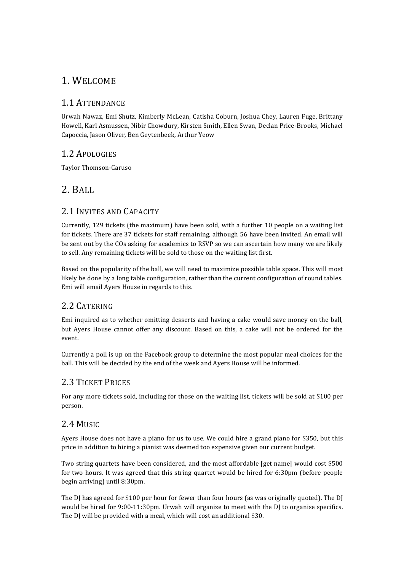# 1. WELCOME

#### 1.1 ATTENDANCE

Urwah Nawaz, Emi Shutz, Kimberly McLean, Catisha Coburn, Joshua Chey, Lauren Fuge, Brittany Howell, Karl Asmussen, Nibir Chowdury, Kirsten Smith, Ellen Swan, Declan Price-Brooks, Michael Capoccia, Jason Oliver, Ben Geytenbeek, Arthur Yeow

#### 1.2 APOLOGIES

Taylor Thomson-Caruso

# 2. BALL

#### 2.1 INVITES AND CAPACITY

Currently, 129 tickets (the maximum) have been sold, with a further 10 people on a waiting list for tickets. There are 37 tickets for staff remaining, although 56 have been invited. An email will be sent out by the COs asking for academics to RSVP so we can ascertain how many we are likely to sell. Any remaining tickets will be sold to those on the waiting list first.

Based on the popularity of the ball, we will need to maximize possible table space. This will most likely be done by a long table configuration, rather than the current configuration of round tables. Emi will email Ayers House in regards to this.

#### 2.2 CATERING

Emi inquired as to whether omitting desserts and having a cake would save money on the ball, but Ayers House cannot offer any discount. Based on this, a cake will not be ordered for the event.

Currently a poll is up on the Facebook group to determine the most popular meal choices for the ball. This will be decided by the end of the week and Ayers House will be informed.

#### 2.3 TICKET PRICES

For any more tickets sold, including for those on the waiting list, tickets will be sold at \$100 per person. 

#### 2.4 MUSIC

Ayers House does not have a piano for us to use. We could hire a grand piano for \$350, but this price in addition to hiring a pianist was deemed too expensive given our current budget.

Two string quartets have been considered, and the most affordable [get name] would cost \$500 for two hours. It was agreed that this string quartet would be hired for 6:30pm (before people begin arriving) until 8:30pm.

The DJ has agreed for \$100 per hour for fewer than four hours (as was originally quoted). The DJ would be hired for  $9:00-11:30$ pm. Urwah will organize to meet with the DJ to organise specifics. The DJ will be provided with a meal, which will cost an additional \$30.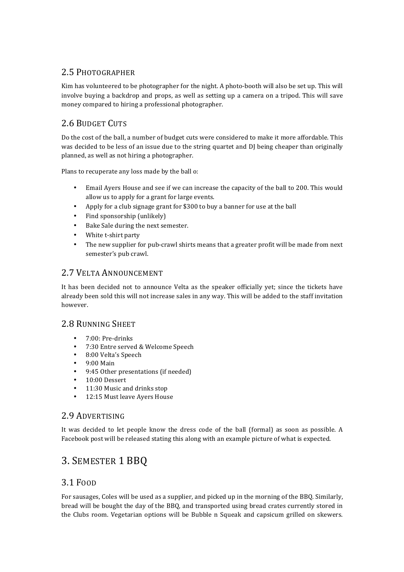#### 2.5 PHOTOGRAPHER

Kim has volunteered to be photographer for the night. A photo-booth will also be set up. This will involve buying a backdrop and props, as well as setting up a camera on a tripod. This will save money compared to hiring a professional photographer.

#### 2.6 BUDGET CUTS

Do the cost of the ball, a number of budget cuts were considered to make it more affordable. This was decided to be less of an issue due to the string quartet and DI being cheaper than originally planned, as well as not hiring a photographer.

Plans to recuperate any loss made by the ball o:

- Email Ayers House and see if we can increase the capacity of the ball to 200. This would allow us to apply for a grant for large events.
- Apply for a club signage grant for \$300 to buy a banner for use at the ball
- Find sponsorship (unlikely)
- Bake Sale during the next semester.
- White t-shirt party
- The new supplier for pub-crawl shirts means that a greater profit will be made from next semester's pub crawl.

#### 2.7 VELTA ANNOUNCEMENT

It has been decided not to announce Velta as the speaker officially yet; since the tickets have already been sold this will not increase sales in any way. This will be added to the staff invitation however. 

#### 2.8 RUNNING SHEET

- 7:00: Pre-drinks
- 7:30 Entre served & Welcome Speech
- 8:00 Velta's Speech
- 9:00 Main
- 9:45 Other presentations (if needed)
- 10:00 Dessert
- $11:30$  Music and drinks stop<br>•  $12:15$  Must leave Avers Hous
- 12:15 Must leave Ayers House

#### 2.9 ADVERTISING

It was decided to let people know the dress code of the ball (formal) as soon as possible. A Facebook post will be released stating this along with an example picture of what is expected.

# 3. SEMESTER 1 BBQ

#### 3.1 FOOD

For sausages, Coles will be used as a supplier, and picked up in the morning of the BBQ. Similarly, bread will be bought the day of the BBQ, and transported using bread crates currently stored in the Clubs room. Vegetarian options will be Bubble n Squeak and capsicum grilled on skewers.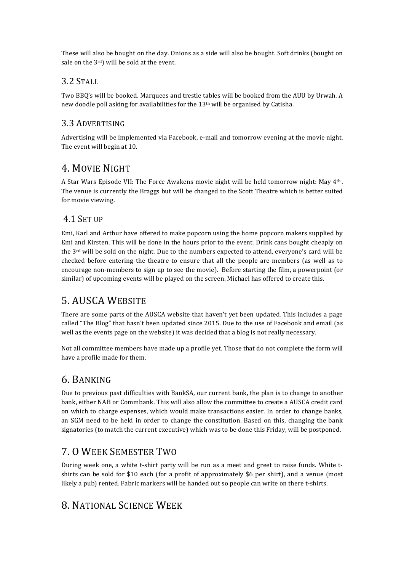These will also be bought on the day. Onions as a side will also be bought. Soft drinks (bought on sale on the  $3<sup>rd</sup>$  will be sold at the event.

#### 3.2 STALL

Two BBQ's will be booked. Marquees and trestle tables will be booked from the AUU by Urwah. A new doodle poll asking for availabilities for the 13<sup>th</sup> will be organised by Catisha.

#### 3.3 ADVERTISING

Advertising will be implemented via Facebook, e-mail and tomorrow evening at the movie night. The event will begin at 10.

### 4. MOVIE NIGHT

A Star Wars Episode VII: The Force Awakens movie night will be held tomorrow night: May 4<sup>th</sup>. The venue is currently the Braggs but will be changed to the Scott Theatre which is better suited for movie viewing.

#### 4.1 SET UP

Emi, Karl and Arthur have offered to make popcorn using the home popcorn makers supplied by Emi and Kirsten. This will be done in the hours prior to the event. Drink cans bought cheaply on the  $3<sup>rd</sup>$  will be sold on the night. Due to the numbers expected to attend, everyone's card will be checked before entering the theatre to ensure that all the people are members (as well as to encourage non-members to sign up to see the movie). Before starting the film, a powerpoint (or similar) of upcoming events will be played on the screen. Michael has offered to create this.

# 5. AUSCA WEBSITE

There are some parts of the AUSCA website that haven't yet been updated. This includes a page called "The Blog" that hasn't been updated since 2015. Due to the use of Facebook and email (as well as the events page on the website) it was decided that a blog is not really necessary.

Not all committee members have made up a profile yet. Those that do not complete the form will have a profile made for them.

# 6. BANKING

Due to previous past difficulties with BankSA, our current bank, the plan is to change to another bank, either NAB or Commbank. This will also allow the committee to create a AUSCA credit card on which to charge expenses, which would make transactions easier. In order to change banks, an SGM need to be held in order to change the constitution. Based on this, changing the bank signatories (to match the current executive) which was to be done this Friday, will be postponed.

# 7. O WEEK SEMESTER TWO

During week one, a white t-shirt party will be run as a meet and greet to raise funds. White tshirts can be sold for \$10 each (for a profit of approximately \$6 per shirt), and a venue (most likely a pub) rented. Fabric markers will be handed out so people can write on there t-shirts.

# 8. NATIONAL SCIENCE WEEK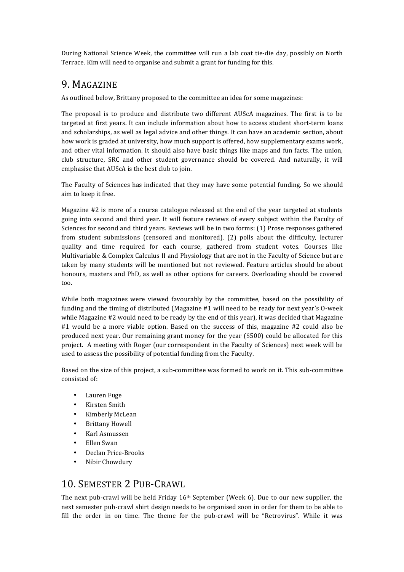During National Science Week, the committee will run a lab coat tie-die day, possibly on North Terrace. Kim will need to organise and submit a grant for funding for this.

#### 9. MAGAZINE

As outlined below, Brittany proposed to the committee an idea for some magazines:

The proposal is to produce and distribute two different AUScA magazines. The first is to be targeted at first years. It can include information about how to access student short-term loans and scholarships, as well as legal advice and other things. It can have an academic section, about how work is graded at university, how much support is offered, how supplementary exams work, and other vital information. It should also have basic things like maps and fun facts. The union, club structure, SRC and other student governance should be covered. And naturally, it will emphasise that AUScA is the best club to join.

The Faculty of Sciences has indicated that they may have some potential funding. So we should aim to keep it free.

Magazine  $#2$  is more of a course catalogue released at the end of the year targeted at students going into second and third year. It will feature reviews of every subject within the Faculty of Sciences for second and third years. Reviews will be in two forms: (1) Prose responses gathered from student submissions (censored and monitored). (2) polls about the difficulty, lecturer quality and time required for each course, gathered from student votes. Courses like Multivariable & Complex Calculus II and Physiology that are not in the Faculty of Science but are taken by many students will be mentioned but not reviewed. Feature articles should be about honours, masters and PhD, as well as other options for careers. Overloading should be covered too.

While both magazines were viewed favourably by the committee, based on the possibility of funding and the timing of distributed (Magazine #1 will need to be ready for next year's O-week while Magazine  $#2$  would need to be ready by the end of this year), it was decided that Magazine #1 would be a more viable option. Based on the success of this, magazine #2 could also be produced next year. Our remaining grant money for the year (\$500) could be allocated for this project. A meeting with Roger (our correspondent in the Faculty of Sciences) next week will be used to assess the possibility of potential funding from the Faculty.

Based on the size of this project, a sub-committee was formed to work on it. This sub-committee consisted of:

- Lauren Fuge
- Kirsten Smith
- Kimberly McLean
- Brittany Howell
- Karl Asmussen
- Ellen Swan
- Declan Price-Brooks
- Nibir Chowdury

# 10. SEMESTER 2 PUB-CRAWL

The next pub-crawl will be held Friday  $16<sup>th</sup>$  September (Week 6). Due to our new supplier, the next semester pub-crawl shirt design needs to be organised soon in order for them to be able to fill the order in on time. The theme for the pub-crawl will be "Retrovirus". While it was